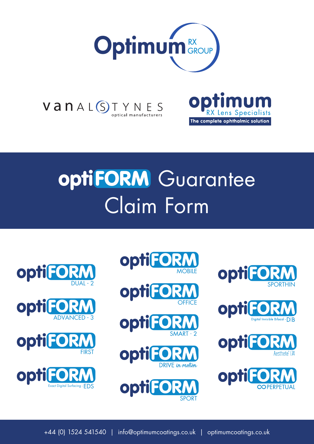



## optiFORM Guarantee Claim Form



Lens Specialists

The complete ophthalmic solution























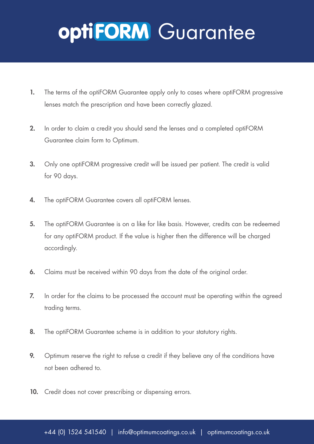## optiFORM Guarantee

- 1. The terms of the optiFORM Guarantee apply only to cases where optiFORM progressive lenses match the prescription and have been correctly glazed.
- 2. In order to claim a credit you should send the lenses and a completed optiFORM Guarantee claim form to Optimum.
- 3. Only one optiFORM progressive credit will be issued per patient. The credit is valid for 90 days.
- 4. The optiFORM Guarantee covers all optiFORM lenses.
- 5. The optiFORM Guarantee is on a like for like basis. However, credits can be redeemed for any optiFORM product. If the value is higher then the difference will be charged accordingly.
- 6. Claims must be received within 90 days from the date of the original order.
- 7. In order for the claims to be processed the account must be operating within the agreed trading terms.
- 8. The optiFORM Guarantee scheme is in addition to your statutory rights.
- 9. Optimum reserve the right to refuse a credit if they believe any of the conditions have not been adhered to.
- 10. Credit does not cover prescribing or dispensing errors.